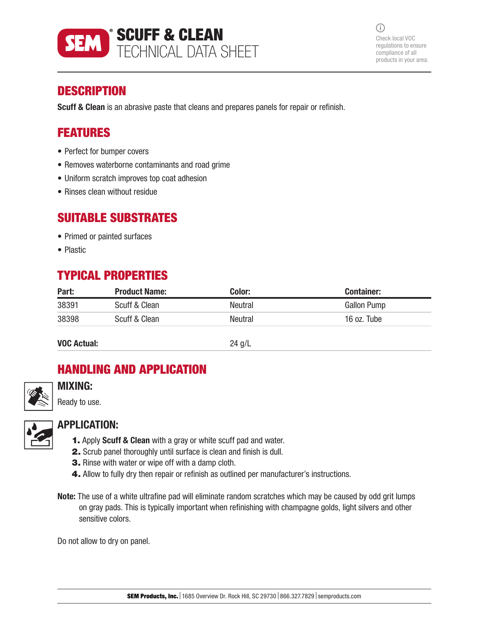

 $(i)$ Check local VOC regulations to ensure compliance of all products in your area.

# **DESCRIPTION**

Scuff & Clean is an abrasive paste that cleans and prepares panels for repair or refinish.

# FEATURES

- Perfect for bumper covers
- Removes waterborne contaminants and road grime
- Uniform scratch improves top coat adhesion
- Rinses clean without residue

## SUITABLE SUBSTRATES

- Primed or painted surfaces
- Plastic

# TYPICAL PROPERTIES

| Part: | <b>Product Name:</b> | Color:  | <b>Container:</b> |
|-------|----------------------|---------|-------------------|
| 38391 | Scuff & Clean        | Neutral | Gallon Pump       |
| 38398 | Scuff & Clean        | Neutral | 16 oz. Tube       |
|       |                      |         |                   |

VOC Actual: 24 g/L

# HANDLING AND APPLICATION



# MIXING:

Ready to use.



### APPLICATION:

- 1. Apply Scuff & Clean with a gray or white scuff pad and water.
- 2. Scrub panel thoroughly until surface is clean and finish is dull.
- 3. Rinse with water or wipe off with a damp cloth.
- 4. Allow to fully dry then repair or refinish as outlined per manufacturer's instructions.
- Note: The use of a white ultrafine pad will eliminate random scratches which may be caused by odd grit lumps on gray pads. This is typically important when refinishing with champagne golds, light silvers and other sensitive colors.

Do not allow to dry on panel.